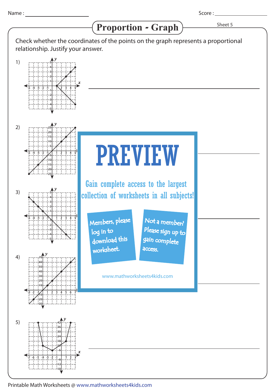1)

2)

3)

4)

*y* -3 -2 -1 1 2 3 4 5 6 7 -20 70 60 50 40 30  $\overline{10}$ 20 بم ہو $_{\rm q}$ *x y* -1-2-3-4-5 1 2 3 4 5 5 4 3 2 1 -1 -2 -3 -4 -5 *y* -1-2-3-4-5 1 2 3 4 5 25 20 15 10 5  $-5$ -10 -15 -20 -25 *y* -1-2-3-4-5 1 2 3 4 5 5 4 3 2 1 -1 -2 -3 -4 -5 *y* 42 Proportion - Graph > Sheet 5 Score : \_\_\_\_\_\_\_\_\_ Check whether the coordinates of the points on the graph represents a proportional relationship. Justify your answer. PREVIEW www.mathworksheets4kids.com Members, please download this worksheet. log in to Not a member? gain complete Please sign up to access. Gain complete access to the largest collection of worksheets in all subjects!